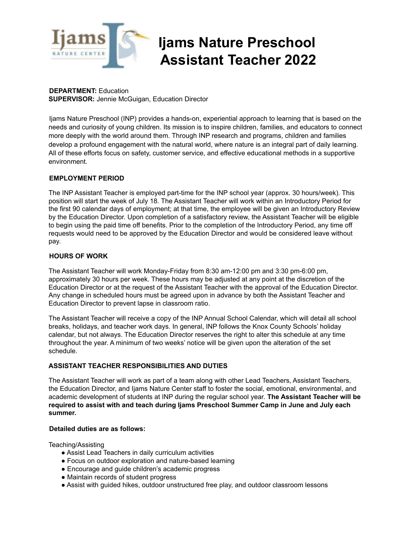

# **Ijams Nature Preschool Assistant Teacher 2022**

**DEPARTMENT:** Education **SUPERVISOR:** Jennie McGuigan, Education Director

Ijams Nature Preschool (INP) provides a hands-on, experiential approach to learning that is based on the needs and curiosity of young children. Its mission is to inspire children, families, and educators to connect more deeply with the world around them. Through INP research and programs, children and families develop a profound engagement with the natural world, where nature is an integral part of daily learning. All of these efforts focus on safety, customer service, and effective educational methods in a supportive environment.

# **EMPLOYMENT PERIOD**

The INP Assistant Teacher is employed part-time for the INP school year (approx. 30 hours/week). This position will start the week of July 18. The Assistant Teacher will work within an Introductory Period for the first 90 calendar days of employment; at that time, the employee will be given an Introductory Review by the Education Director. Upon completion of a satisfactory review, the Assistant Teacher will be eligible to begin using the paid time off benefits. Prior to the completion of the Introductory Period, any time off requests would need to be approved by the Education Director and would be considered leave without pay.

# **HOURS OF WORK**

The Assistant Teacher will work Monday-Friday from 8:30 am-12:00 pm and 3:30 pm-6:00 pm, approximately 30 hours per week. These hours may be adjusted at any point at the discretion of the Education Director or at the request of the Assistant Teacher with the approval of the Education Director. Any change in scheduled hours must be agreed upon in advance by both the Assistant Teacher and Education Director to prevent lapse in classroom ratio.

The Assistant Teacher will receive a copy of the INP Annual School Calendar, which will detail all school breaks, holidays, and teacher work days. In general, INP follows the Knox County Schools' holiday calendar, but not always. The Education Director reserves the right to alter this schedule at any time throughout the year. A minimum of two weeks' notice will be given upon the alteration of the set schedule.

# **ASSISTANT TEACHER RESPONSIBILITIES AND DUTIES**

The Assistant Teacher will work as part of a team along with other Lead Teachers, Assistant Teachers, the Education Director, and Ijams Nature Center staff to foster the social, emotional, environmental, and academic development of students at INP during the regular school year. **The Assistant Teacher will be required to assist with and teach during Ijams Preschool Summer Camp in June and July each summer.**

# **Detailed duties are as follows:**

Teaching/Assisting

- Assist Lead Teachers in daily curriculum activities
- Focus on outdoor exploration and nature-based learning
- Encourage and guide children's academic progress
- Maintain records of student progress
- Assist with guided hikes, outdoor unstructured free play, and outdoor classroom lessons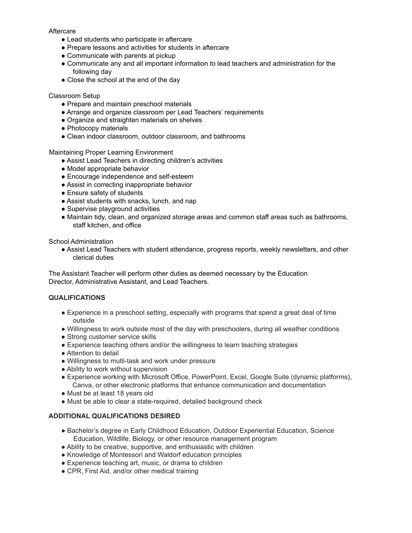#### **Aftercare**

- Lead students who participate in aftercare
- Prepare lessons and activities for students in aftercare
- Communicate with parents at pickup
- Communicate any and all important information to lead teachers and administration for the following day
- Close the school at the end of the day

#### Classroom Setup

- Prepare and maintain preschool materials
- Arrange and organize classroom per Lead Teachers' requirements
- Organize and straighten materials on shelves
- Photocopy materials
- Clean indoor classroom, outdoor classroom, and bathrooms

Maintaining Proper Learning Environment

- Assist Lead Teachers in directing children's activities
- Model appropriate behavior
- Encourage independence and self-esteem
- Assist in correcting inappropriate behavior
- Ensure safety of students
- Assist students with snacks, lunch, and nap
- Supervise playground activities
- Maintain tidy, clean, and organized storage areas and common staff areas such as bathrooms, staff kitchen, and office

School Administration

● Assist Lead Teachers with student attendance, progress reports, weekly newsletters, and other clerical duties

The Assistant Teacher will perform other duties as deemed necessary by the Education Director, Administrative Assistant, and Lead Teachers.

#### **QUALIFICATIONS**

- Experience in a preschool setting, especially with programs that spend a great deal of time outside
- Willingness to work outside most of the day with preschoolers, during all weather conditions
- Strong customer service skills
- Experience teaching others and/or the willingness to learn teaching strategies
- Attention to detail
- Willingness to multi-task and work under pressure
- Ability to work without supervision
- Experience working with Microsoft Office, PowerPoint, Excel, Google Suite (dynamic platforms), Canva, or other electronic platforms that enhance communication and documentation
- Must be at least 18 years old
- Must be able to clear a state-required, detailed background check

# **ADDITIONAL QUALIFICATIONS DESIRED**

- Bachelor's degree in Early Childhood Education, Outdoor Experiential Education, Science Education, Wildlife, Biology, or other resource management program
- Ability to be creative, supportive, and enthusiastic with children
- Knowledge of Montessori and Waldorf education principles
- Experience teaching art, music, or drama to children
- CPR, First Aid, and/or other medical training